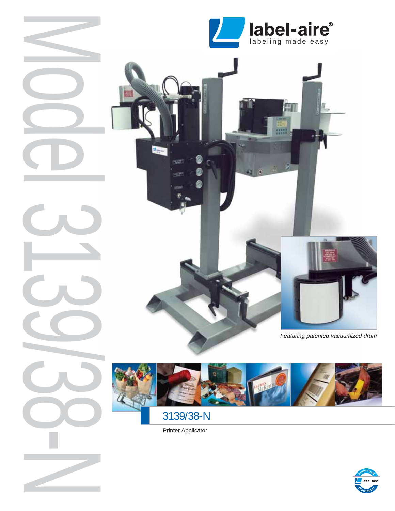

冊冊



Featuring patented vacuumized drum



3139/38-N

Neder 309-No-N

Printer Applicator